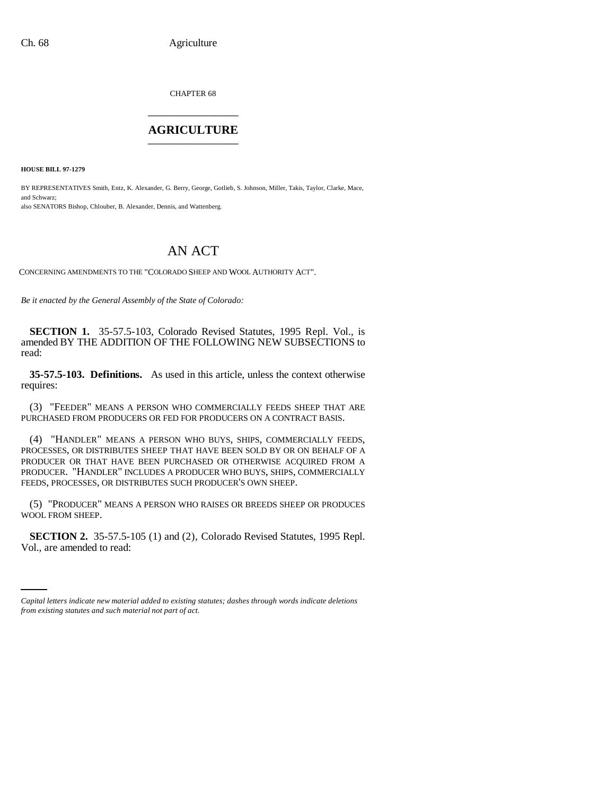CHAPTER 68 \_\_\_\_\_\_\_\_\_\_\_\_\_\_\_

## **AGRICULTURE** \_\_\_\_\_\_\_\_\_\_\_\_\_\_\_

**HOUSE BILL 97-1279**

BY REPRESENTATIVES Smith, Entz, K. Alexander, G. Berry, George, Gotlieb, S. Johnson, Miller, Takis, Taylor, Clarke, Mace, and Schwarz; also SENATORS Bishop, Chlouber, B. Alexander, Dennis, and Wattenberg.

## AN ACT

CONCERNING AMENDMENTS TO THE "COLORADO SHEEP AND WOOL AUTHORITY ACT".

*Be it enacted by the General Assembly of the State of Colorado:*

**SECTION 1.** 35-57.5-103, Colorado Revised Statutes, 1995 Repl. Vol., is amended BY THE ADDITION OF THE FOLLOWING NEW SUBSECTIONS to read:

**35-57.5-103. Definitions.** As used in this article, unless the context otherwise requires:

(3) "FEEDER" MEANS A PERSON WHO COMMERCIALLY FEEDS SHEEP THAT ARE PURCHASED FROM PRODUCERS OR FED FOR PRODUCERS ON A CONTRACT BASIS.

(4) "HANDLER" MEANS A PERSON WHO BUYS, SHIPS, COMMERCIALLY FEEDS, PROCESSES, OR DISTRIBUTES SHEEP THAT HAVE BEEN SOLD BY OR ON BEHALF OF A PRODUCER OR THAT HAVE BEEN PURCHASED OR OTHERWISE ACQUIRED FROM A PRODUCER. "HANDLER" INCLUDES A PRODUCER WHO BUYS, SHIPS, COMMERCIALLY FEEDS, PROCESSES, OR DISTRIBUTES SUCH PRODUCER'S OWN SHEEP.

(5) "PRODUCER" MEANS A PERSON WHO RAISES OR BREEDS SHEEP OR PRODUCES WOOL FROM SHEEP.

 **SECTION 2.** 35-57.5-105 (1) and (2), Colorado Revised Statutes, 1995 Repl. Vol., are amended to read:

*Capital letters indicate new material added to existing statutes; dashes through words indicate deletions from existing statutes and such material not part of act.*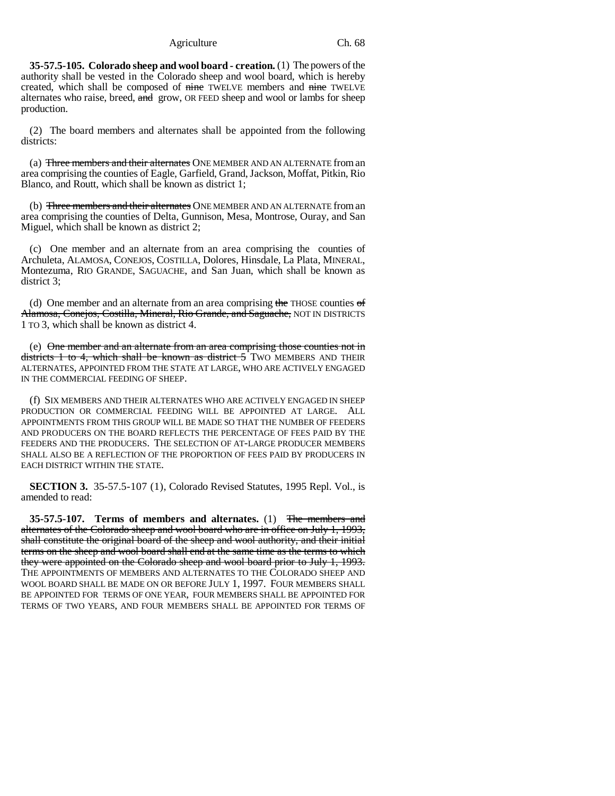Agriculture Ch. 68

**35-57.5-105. Colorado sheep and wool board - creation.** (1) The powers of the authority shall be vested in the Colorado sheep and wool board, which is hereby created, which shall be composed of nine TWELVE members and nine TWELVE alternates who raise, breed, and grow, OR FEED sheep and wool or lambs for sheep production.

(2) The board members and alternates shall be appointed from the following districts:

(a) Three members and their alternates ONE MEMBER AND AN ALTERNATE from an area comprising the counties of Eagle, Garfield, Grand, Jackson, Moffat, Pitkin, Rio Blanco, and Routt, which shall be known as district 1;

(b) Three members and their alternates ONE MEMBER AND AN ALTERNATE from an area comprising the counties of Delta, Gunnison, Mesa, Montrose, Ouray, and San Miguel, which shall be known as district 2;

(c) One member and an alternate from an area comprising the counties of Archuleta, ALAMOSA, CONEJOS, COSTILLA, Dolores, Hinsdale, La Plata, MINERAL, Montezuma, RIO GRANDE, SAGUACHE, and San Juan, which shall be known as district 3;

(d) One member and an alternate from an area comprising the THOSE counties  $\sigma f$ Alamosa, Conejos, Costilla, Mineral, Rio Grande, and Saguache, NOT IN DISTRICTS 1 TO 3, which shall be known as district 4.

(e) One member and an alternate from an area comprising those counties not in districts 1 to 4, which shall be known as district 5 TWO MEMBERS AND THEIR ALTERNATES, APPOINTED FROM THE STATE AT LARGE, WHO ARE ACTIVELY ENGAGED IN THE COMMERCIAL FEEDING OF SHEEP.

(f) SIX MEMBERS AND THEIR ALTERNATES WHO ARE ACTIVELY ENGAGED IN SHEEP PRODUCTION OR COMMERCIAL FEEDING WILL BE APPOINTED AT LARGE. ALL APPOINTMENTS FROM THIS GROUP WILL BE MADE SO THAT THE NUMBER OF FEEDERS AND PRODUCERS ON THE BOARD REFLECTS THE PERCENTAGE OF FEES PAID BY THE FEEDERS AND THE PRODUCERS. THE SELECTION OF AT-LARGE PRODUCER MEMBERS SHALL ALSO BE A REFLECTION OF THE PROPORTION OF FEES PAID BY PRODUCERS IN EACH DISTRICT WITHIN THE STATE.

**SECTION 3.** 35-57.5-107 (1), Colorado Revised Statutes, 1995 Repl. Vol., is amended to read:

**35-57.5-107. Terms of members and alternates.** (1) The members and alternates of the Colorado sheep and wool board who are in office on July 1, 1993, shall constitute the original board of the sheep and wool authority, and their initial terms on the sheep and wool board shall end at the same time as the terms to which they were appointed on the Colorado sheep and wool board prior to July 1, 1993. THE APPOINTMENTS OF MEMBERS AND ALTERNATES TO THE COLORADO SHEEP AND WOOL BOARD SHALL BE MADE ON OR BEFORE JULY 1, 1997. FOUR MEMBERS SHALL BE APPOINTED FOR TERMS OF ONE YEAR, FOUR MEMBERS SHALL BE APPOINTED FOR TERMS OF TWO YEARS, AND FOUR MEMBERS SHALL BE APPOINTED FOR TERMS OF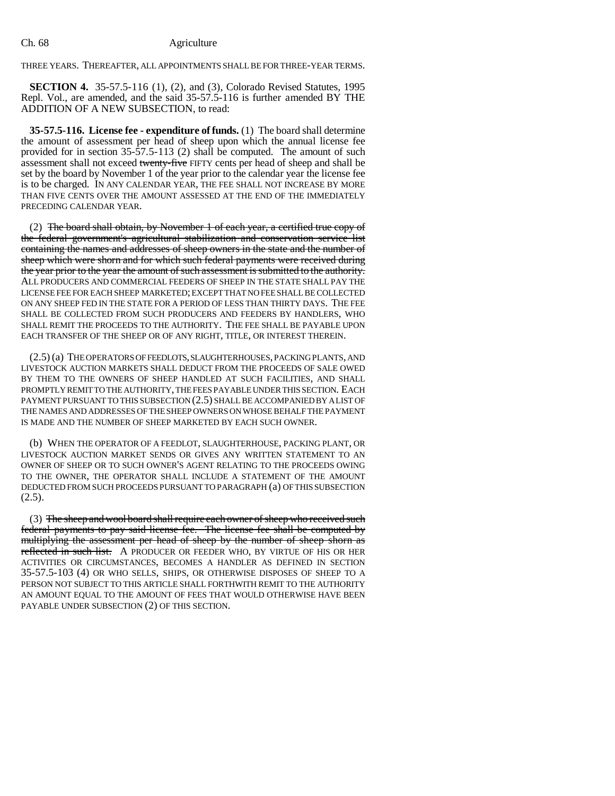## Ch. 68 Agriculture

THREE YEARS. THEREAFTER, ALL APPOINTMENTS SHALL BE FOR THREE-YEAR TERMS.

**SECTION 4.** 35-57.5-116 (1), (2), and (3), Colorado Revised Statutes, 1995 Repl. Vol., are amended, and the said 35-57.5-116 is further amended BY THE ADDITION OF A NEW SUBSECTION, to read:

**35-57.5-116. License fee - expenditure of funds.** (1) The board shall determine the amount of assessment per head of sheep upon which the annual license fee provided for in section 35-57.5-113 (2) shall be computed. The amount of such assessment shall not exceed twenty-five FIFTY cents per head of sheep and shall be set by the board by November 1 of the year prior to the calendar year the license fee is to be charged. IN ANY CALENDAR YEAR, THE FEE SHALL NOT INCREASE BY MORE THAN FIVE CENTS OVER THE AMOUNT ASSESSED AT THE END OF THE IMMEDIATELY PRECEDING CALENDAR YEAR.

(2) The board shall obtain, by November 1 of each year, a certified true copy of the federal government's agricultural stabilization and conservation service list containing the names and addresses of sheep owners in the state and the number of sheep which were shorn and for which such federal payments were received during the year prior to the year the amount of such assessment is submitted to the authority. ALL PRODUCERS AND COMMERCIAL FEEDERS OF SHEEP IN THE STATE SHALL PAY THE LICENSE FEE FOR EACH SHEEP MARKETED; EXCEPT THAT NO FEE SHALL BE COLLECTED ON ANY SHEEP FED IN THE STATE FOR A PERIOD OF LESS THAN THIRTY DAYS. THE FEE SHALL BE COLLECTED FROM SUCH PRODUCERS AND FEEDERS BY HANDLERS, WHO SHALL REMIT THE PROCEEDS TO THE AUTHORITY. THE FEE SHALL BE PAYABLE UPON EACH TRANSFER OF THE SHEEP OR OF ANY RIGHT, TITLE, OR INTEREST THEREIN.

(2.5) (a) THE OPERATORS OF FEEDLOTS, SLAUGHTERHOUSES, PACKING PLANTS, AND LIVESTOCK AUCTION MARKETS SHALL DEDUCT FROM THE PROCEEDS OF SALE OWED BY THEM TO THE OWNERS OF SHEEP HANDLED AT SUCH FACILITIES, AND SHALL PROMPTLY REMIT TO THE AUTHORITY, THE FEES PAYABLE UNDER THIS SECTION. EACH PAYMENT PURSUANT TO THIS SUBSECTION (2.5) SHALL BE ACCOMPANIED BY A LIST OF THE NAMES AND ADDRESSES OF THE SHEEP OWNERS ON WHOSE BEHALF THE PAYMENT IS MADE AND THE NUMBER OF SHEEP MARKETED BY EACH SUCH OWNER.

(b) WHEN THE OPERATOR OF A FEEDLOT, SLAUGHTERHOUSE, PACKING PLANT, OR LIVESTOCK AUCTION MARKET SENDS OR GIVES ANY WRITTEN STATEMENT TO AN OWNER OF SHEEP OR TO SUCH OWNER'S AGENT RELATING TO THE PROCEEDS OWING TO THE OWNER, THE OPERATOR SHALL INCLUDE A STATEMENT OF THE AMOUNT DEDUCTED FROM SUCH PROCEEDS PURSUANT TO PARAGRAPH (a) OF THIS SUBSECTION  $(2.5)$ .

(3) The sheep and wool board shall require each owner of sheep who received such federal payments to pay said license fee. The license fee shall be computed by multiplying the assessment per head of sheep by the number of sheep shorn as reflected in such list. A PRODUCER OR FEEDER WHO, BY VIRTUE OF HIS OR HER ACTIVITIES OR CIRCUMSTANCES, BECOMES A HANDLER AS DEFINED IN SECTION 35-57.5-103 (4) OR WHO SELLS, SHIPS, OR OTHERWISE DISPOSES OF SHEEP TO A PERSON NOT SUBJECT TO THIS ARTICLE SHALL FORTHWITH REMIT TO THE AUTHORITY AN AMOUNT EQUAL TO THE AMOUNT OF FEES THAT WOULD OTHERWISE HAVE BEEN PAYABLE UNDER SUBSECTION (2) OF THIS SECTION.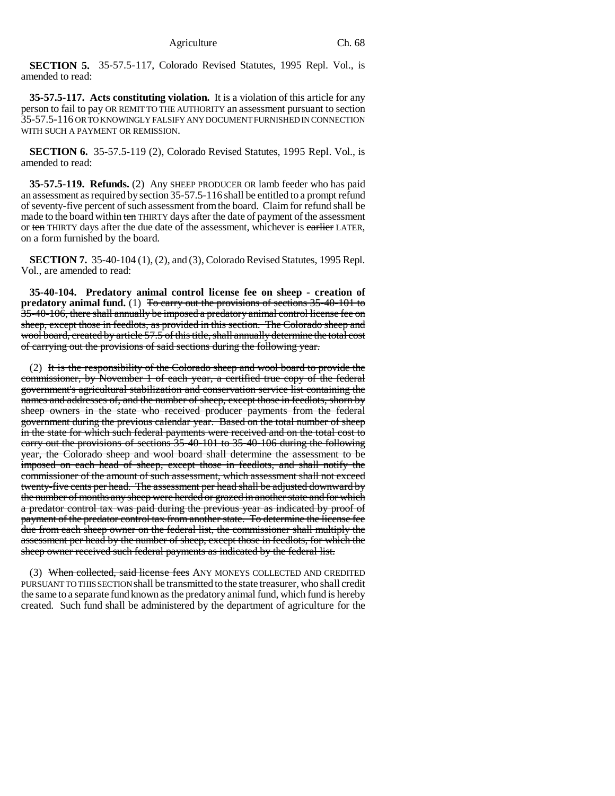**SECTION 5.** 35-57.5-117, Colorado Revised Statutes, 1995 Repl. Vol., is amended to read:

**35-57.5-117. Acts constituting violation.** It is a violation of this article for any person to fail to pay OR REMIT TO THE AUTHORITY an assessment pursuant to section 35-57.5-116 OR TO KNOWINGLY FALSIFY ANY DOCUMENT FURNISHED IN CONNECTION WITH SUCH A PAYMENT OR REMISSION.

**SECTION 6.** 35-57.5-119 (2), Colorado Revised Statutes, 1995 Repl. Vol., is amended to read:

**35-57.5-119. Refunds.** (2) Any SHEEP PRODUCER OR lamb feeder who has paid an assessment as required by section 35-57.5-116 shall be entitled to a prompt refund of seventy-five percent of such assessment from the board. Claim for refund shall be made to the board within ten THIRTY days after the date of payment of the assessment or ten THIRTY days after the due date of the assessment, whichever is earlier LATER, on a form furnished by the board.

**SECTION 7.** 35-40-104 (1), (2), and (3), Colorado Revised Statutes, 1995 Repl. Vol., are amended to read:

**35-40-104. Predatory animal control license fee on sheep - creation of** predatory animal fund. (1) To carry out the provisions of sections 35-40-101 to 35-40-106, there shall annually be imposed a predatory animal control license fee on sheep, except those in feedlots, as provided in this section. The Colorado sheep and wool board, created by article 57.5 of this title, shall annually determine the total cost of carrying out the provisions of said sections during the following year.

(2) It is the responsibility of the Colorado sheep and wool board to provide the commissioner, by November 1 of each year, a certified true copy of the federal government's agricultural stabilization and conservation service list containing the names and addresses of, and the number of sheep, except those in feedlots, shorn by sheep owners in the state who received producer payments from the federal government during the previous calendar year. Based on the total number of sheep in the state for which such federal payments were received and on the total cost to carry out the provisions of sections 35-40-101 to 35-40-106 during the following year, the Colorado sheep and wool board shall determine the assessment to be imposed on each head of sheep, except those in feedlots, and shall notify the commissioner of the amount of such assessment, which assessment shall not exceed twenty-five cents per head. The assessment per head shall be adjusted downward by the number of months any sheep were herded or grazed in another state and for which a predator control tax was paid during the previous year as indicated by proof of payment of the predator control tax from another state. To determine the license fee due from each sheep owner on the federal list, the commissioner shall multiply the assessment per head by the number of sheep, except those in feedlots, for which the sheep owner received such federal payments as indicated by the federal list.

(3) When collected, said license fees ANY MONEYS COLLECTED AND CREDITED PURSUANT TO THIS SECTION shall be transmitted to the state treasurer, who shall credit the same to a separate fund known as the predatory animal fund, which fund is hereby created. Such fund shall be administered by the department of agriculture for the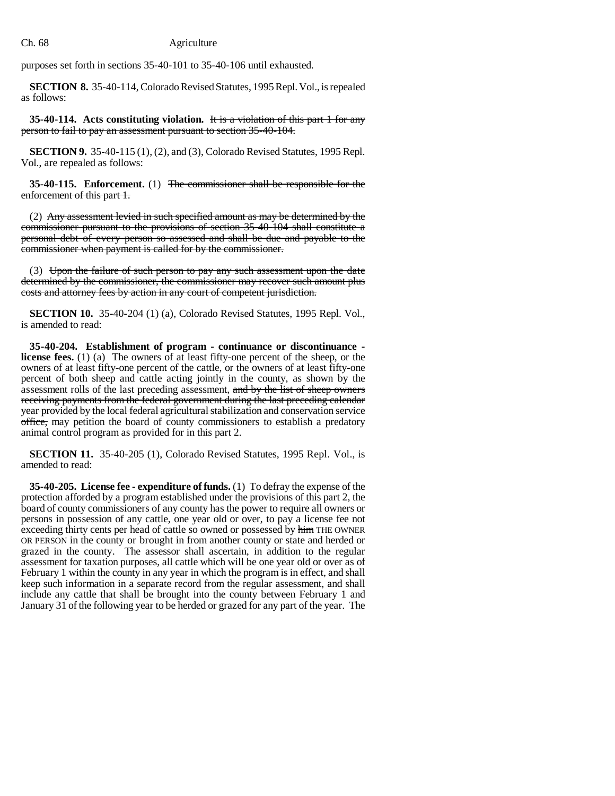## Ch. 68 Agriculture

purposes set forth in sections 35-40-101 to 35-40-106 until exhausted.

**SECTION 8.** 35-40-114, Colorado Revised Statutes, 1995 Repl. Vol., is repealed as follows:

**35-40-114. Acts constituting violation.** It is a violation of this part 1 for any person to fail to pay an assessment pursuant to section 35-40-104.

**SECTION 9.** 35-40-115 (1), (2), and (3), Colorado Revised Statutes, 1995 Repl. Vol., are repealed as follows:

**35-40-115. Enforcement.** (1) The commissioner shall be responsible for the enforcement of this part 1.

(2) Any assessment levied in such specified amount as may be determined by the commissioner pursuant to the provisions of section 35-40-104 shall constitute a personal debt of every person so assessed and shall be due and payable to the commissioner when payment is called for by the commissioner.

(3) Upon the failure of such person to pay any such assessment upon the date determined by the commissioner, the commissioner may recover such amount plus costs and attorney fees by action in any court of competent jurisdiction.

**SECTION 10.** 35-40-204 (1) (a), Colorado Revised Statutes, 1995 Repl. Vol., is amended to read:

**35-40-204. Establishment of program - continuance or discontinuance license fees.** (1) (a) The owners of at least fifty-one percent of the sheep, or the owners of at least fifty-one percent of the cattle, or the owners of at least fifty-one percent of both sheep and cattle acting jointly in the county, as shown by the assessment rolls of the last preceding assessment, and by the list of sheep owners receiving payments from the federal government during the last preceding calendar year provided by the local federal agricultural stabilization and conservation service office, may petition the board of county commissioners to establish a predatory animal control program as provided for in this part 2.

**SECTION 11.** 35-40-205 (1), Colorado Revised Statutes, 1995 Repl. Vol., is amended to read:

**35-40-205. License fee - expenditure of funds.** (1) To defray the expense of the protection afforded by a program established under the provisions of this part 2, the board of county commissioners of any county has the power to require all owners or persons in possession of any cattle, one year old or over, to pay a license fee not exceeding thirty cents per head of cattle so owned or possessed by him THE OWNER OR PERSON in the county or brought in from another county or state and herded or grazed in the county. The assessor shall ascertain, in addition to the regular assessment for taxation purposes, all cattle which will be one year old or over as of February 1 within the county in any year in which the program is in effect, and shall keep such information in a separate record from the regular assessment, and shall include any cattle that shall be brought into the county between February 1 and January 31 of the following year to be herded or grazed for any part of the year. The